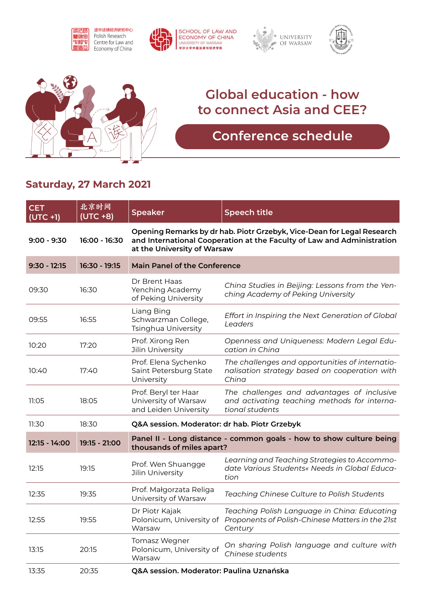









## **Global education - how to connect Asia and CEE?**

## **Conference schedule**

## **Saturday, 27 March 2021**

| <b>CET</b><br>$(UTC + 1)$ | 北京时间<br>$(UTC + 8)$ | <b>Speaker</b>                                                                                                                                                                  | <b>Speech title</b>                                                                                           |  |
|---------------------------|---------------------|---------------------------------------------------------------------------------------------------------------------------------------------------------------------------------|---------------------------------------------------------------------------------------------------------------|--|
| 9:00 - 9:30               | 16:00 - 16:30       | Opening Remarks by dr hab. Piotr Grzebyk, Vice-Dean for Legal Research<br>and International Cooperation at the Faculty of Law and Administration<br>at the University of Warsaw |                                                                                                               |  |
| $9:30 - 12:15$            | 16:30 - 19:15       | <b>Main Panel of the Conference</b>                                                                                                                                             |                                                                                                               |  |
| 09:30                     | 16:30               | Dr Brent Haas<br>Yenching Academy<br>of Peking University                                                                                                                       | China Studies in Beijing: Lessons from the Yen-<br>ching Academy of Peking University                         |  |
| 09:55                     | 16:55               | Liang Bing<br>Schwarzman College,<br>Tsinghua University                                                                                                                        | Effort in Inspiring the Next Generation of Global<br>Leaders                                                  |  |
| 10:20                     | 17:20               | Prof. Xirong Ren<br>Jilin University                                                                                                                                            | Openness and Uniqueness: Modern Legal Edu-<br>cation in China                                                 |  |
| 10:40                     | 17:40               | Prof. Elena Sychenko<br>Saint Petersburg State<br>University                                                                                                                    | The challenges and opportunities of internatio-<br>nalisation strategy based on cooperation with<br>China     |  |
| 11:05                     | 18:05               | Prof. Beryl ter Haar<br>University of Warsaw<br>and Leiden University                                                                                                           | The challenges and advantages of inclusive<br>and activating teaching methods for interna-<br>tional students |  |
| 11:30                     | 18:30               | Q&A session. Moderator: dr hab. Piotr Grzebyk                                                                                                                                   |                                                                                                               |  |
| 12:15 - 14:00             | 19:15 - 21:00       | Panel II - Long distance - common goals - how to show culture being<br>thousands of miles apart?                                                                                |                                                                                                               |  |
| 12:15                     | 19:15               | Prof. Wen Shuangge<br>Jilin University                                                                                                                                          | Learning and Teaching Strategies to Accommo-<br>date Various Students« Needs in Global Educa-<br>tion         |  |
| 12:35                     | 19:35               | Prof. Małgorzata Religa<br>University of Warsaw                                                                                                                                 | Teaching Chinese Culture to Polish Students                                                                   |  |
| 12:55                     | 19:55               | Dr Piotr Kajak<br>Polonicum, University of<br>Warsaw                                                                                                                            | Teaching Polish Language in China: Educating<br>Proponents of Polish-Chinese Matters in the 21st<br>Century   |  |
| 13:15                     | 20:15               | Tomasz Wegner<br>Polonicum, University of<br>Warsaw                                                                                                                             | On sharing Polish language and culture with<br>Chinese students                                               |  |
| 13:35                     | 20:35               | Q&A session. Moderator: Paulina Uznańska                                                                                                                                        |                                                                                                               |  |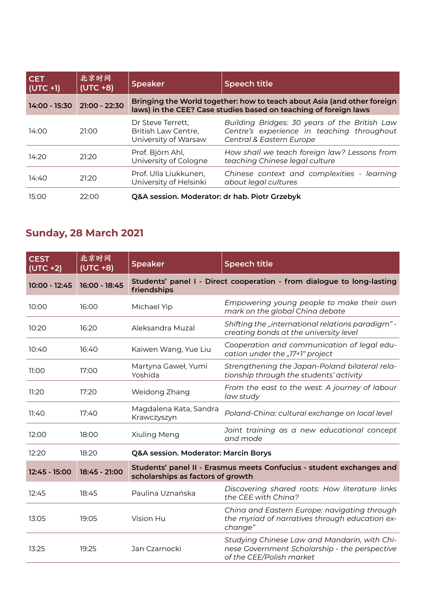| <b>CET</b><br>$ $ (UTC +1) | 北京时间<br>$(UTC + 8)$ | <b>Speaker</b>                                                                                                                              | <b>Speech title</b>                                                                                                     |
|----------------------------|---------------------|---------------------------------------------------------------------------------------------------------------------------------------------|-------------------------------------------------------------------------------------------------------------------------|
| 14:00 - 15:30              | 21:00 - 22:30       | Bringing the World together: how to teach about Asia (and other foreign<br>laws) in the CEE? Case studies based on teaching of foreign laws |                                                                                                                         |
| 14:00                      | 21:00               | Dr Steve Terrett.<br>British Law Centre,<br>University of Warsaw                                                                            | Building Bridges: 30 years of the British Law<br>Centre's experience in teaching throughout<br>Central & Eastern Europe |
| 14:20                      | 21:20               | Prof. Björn Ahl,<br>University of Cologne                                                                                                   | How shall we teach foreign law? Lessons from<br>teaching Chinese legal culture                                          |
| 14:40                      | 21:20               | Prof. Ulla Liukkunen,<br>University of Helsinki                                                                                             | Chinese context and complexities - learning<br>about legal cultures                                                     |
| 15:00                      | 22:00               | Q&A session. Moderator: dr hab. Piotr Grzebyk                                                                                               |                                                                                                                         |

## **Sunday, 28 March 2021**

| <b>CEST</b><br>$(UTC + 2)$ | 北京时间<br>$(UTC + 8)$ | <b>Speaker</b>                                                                                            | <b>Speech title</b>                                                                                                       |
|----------------------------|---------------------|-----------------------------------------------------------------------------------------------------------|---------------------------------------------------------------------------------------------------------------------------|
| 10:00 - 12:45              | 16:00 - 18:45       | friendships                                                                                               | Students' panel I - Direct cooperation - from dialogue to long-lasting                                                    |
| 10:00                      | 16:00               | Michael Yip                                                                                               | Empowering young people to make their own<br>mark on the global China debate                                              |
| 10:20                      | 16:20               | Aleksandra Muzal                                                                                          | Shifting the "international relations paradigm" -<br>creating bonds at the university level                               |
| 10:40                      | 16:40               | Kaiwen Wang, Yue Liu                                                                                      | Cooperation and communication of legal edu-<br>cation under the "17+1" project                                            |
| 11:00                      | 17:00               | Martyna Gaweł, Yumi<br>Yoshida                                                                            | Strengthening the Japan-Poland bilateral rela-<br>tionship through the students' activity                                 |
| 11:20                      | 17:20               | Weidong Zhang                                                                                             | From the east to the west: A journey of labour<br>law study                                                               |
| 11:40                      | 17:40               | Magdalena Kata, Sandra<br>Krawczyszyn                                                                     | Poland-China: cultural exchange on local level                                                                            |
| 12:00                      | 18:00               | Xiuling Meng                                                                                              | Joint training as a new educational concept<br>and mode                                                                   |
| 12:20                      | 18:20               | Q&A session. Moderator: Marcin Borys                                                                      |                                                                                                                           |
| 12:45 - 15:00              | 18:45 - 21:00       | Students' panel II - Erasmus meets Confucius - student exchanges and<br>scholarships as factors of growth |                                                                                                                           |
| 12:45                      | 18:45               | Paulina Uznańska                                                                                          | Discovering shared roots: How literature links<br>the CEE with China?                                                     |
| 13:05                      | 19:05               | Vision Hu                                                                                                 | China and Eastern Europe: navigating through<br>the myriad of narratives through education ex-<br>change"                 |
| 13:25                      | 19:25               | Jan Czarnocki                                                                                             | Studying Chinese Law and Mandarin, with Chi-<br>nese Government Scholarship - the perspective<br>of the CEE/Polish market |